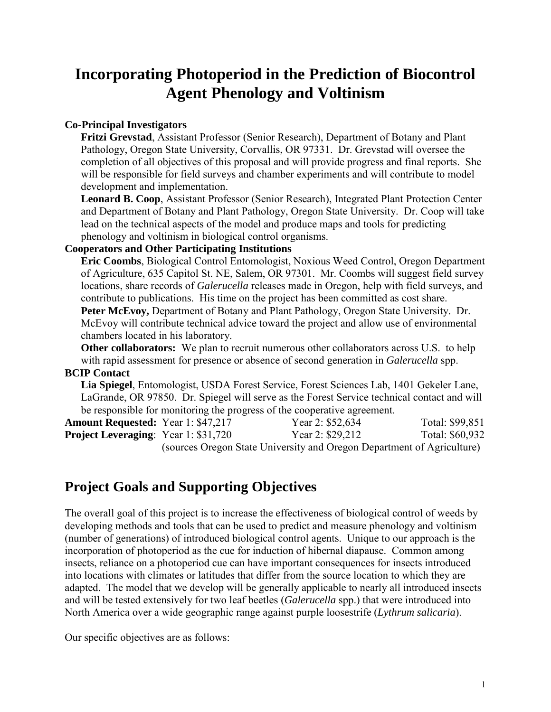# **Incorporating Photoperiod in the Prediction of Biocontrol Agent Phenology and Voltinism**

## **Co-Principal Investigators**

**Fritzi Grevstad**, Assistant Professor (Senior Research), Department of Botany and Plant Pathology, Oregon State University, Corvallis, OR 97331. Dr. Grevstad will oversee the completion of all objectives of this proposal and will provide progress and final reports. She will be responsible for field surveys and chamber experiments and will contribute to model development and implementation.

**Leonard B. Coop**, Assistant Professor (Senior Research), Integrated Plant Protection Center and Department of Botany and Plant Pathology, Oregon State University. Dr. Coop will take lead on the technical aspects of the model and produce maps and tools for predicting phenology and voltinism in biological control organisms.

### **Cooperators and Other Participating Institutions**

**Eric Coombs**, Biological Control Entomologist, Noxious Weed Control, Oregon Department of Agriculture, 635 Capitol St. NE, Salem, OR 97301. Mr. Coombs will suggest field survey locations, share records of *Galerucella* releases made in Oregon, help with field surveys, and contribute to publications. His time on the project has been committed as cost share. **Peter McEvoy,** Department of Botany and Plant Pathology, Oregon State University. Dr. McEvoy will contribute technical advice toward the project and allow use of environmental chambers located in his laboratory.

**Other collaborators:** We plan to recruit numerous other collaborators across U.S. to help with rapid assessment for presence or absence of second generation in *Galerucella* spp.

## **BCIP Contact**

**Lia Spiegel**, Entomologist, USDA Forest Service, Forest Sciences Lab, 1401 Gekeler Lane, LaGrande, OR 97850. Dr. Spiegel will serve as the Forest Service technical contact and will be responsible for monitoring the progress of the cooperative agreement.

| <b>Amount Requested:</b> Year 1: \$47,217   |                                                                        | Year 2: \$52,634 | Total: \$99,851 |  |
|---------------------------------------------|------------------------------------------------------------------------|------------------|-----------------|--|
| <b>Project Leveraging:</b> Year 1: \$31,720 |                                                                        | Year 2: \$29,212 | Total: \$60,932 |  |
|                                             | (sources Oregon State University and Oregon Department of Agriculture) |                  |                 |  |

# **Project Goals and Supporting Objectives**

The overall goal of this project is to increase the effectiveness of biological control of weeds by developing methods and tools that can be used to predict and measure phenology and voltinism (number of generations) of introduced biological control agents. Unique to our approach is the incorporation of photoperiod as the cue for induction of hibernal diapause. Common among insects, reliance on a photoperiod cue can have important consequences for insects introduced into locations with climates or latitudes that differ from the source location to which they are adapted. The model that we develop will be generally applicable to nearly all introduced insects and will be tested extensively for two leaf beetles (*Galerucella* spp.) that were introduced into North America over a wide geographic range against purple loosestrife (*Lythrum salicaria*).

Our specific objectives are as follows: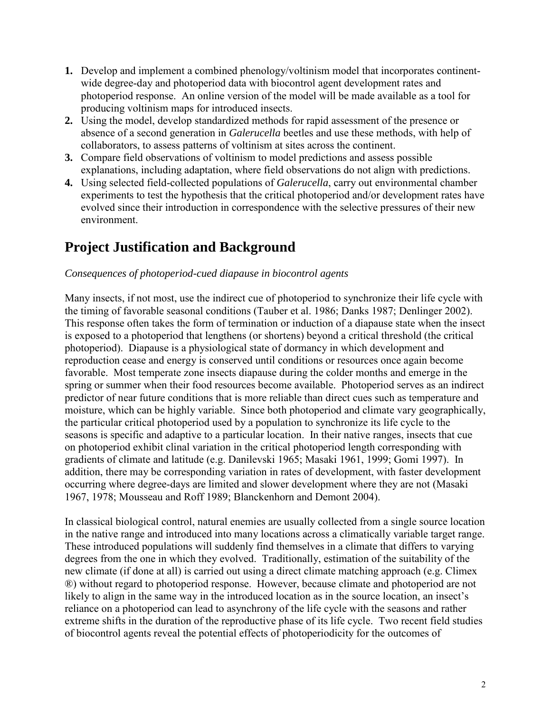- **1.** Develop and implement a combined phenology/voltinism model that incorporates continentwide degree-day and photoperiod data with biocontrol agent development rates and photoperiod response. An online version of the model will be made available as a tool for producing voltinism maps for introduced insects.
- **2.** Using the model, develop standardized methods for rapid assessment of the presence or absence of a second generation in *Galerucella* beetles and use these methods, with help of collaborators, to assess patterns of voltinism at sites across the continent.
- **3.** Compare field observations of voltinism to model predictions and assess possible explanations, including adaptation, where field observations do not align with predictions.
- **4.** Using selected field-collected populations of *Galerucella*, carry out environmental chamber experiments to test the hypothesis that the critical photoperiod and/or development rates have evolved since their introduction in correspondence with the selective pressures of their new environment.

# **Project Justification and Background**

## *Consequences of photoperiod-cued diapause in biocontrol agents*

Many insects, if not most, use the indirect cue of photoperiod to synchronize their life cycle with the timing of favorable seasonal conditions (Tauber et al. 1986; Danks 1987; Denlinger 2002). This response often takes the form of termination or induction of a diapause state when the insect is exposed to a photoperiod that lengthens (or shortens) beyond a critical threshold (the critical photoperiod). Diapause is a physiological state of dormancy in which development and reproduction cease and energy is conserved until conditions or resources once again become favorable. Most temperate zone insects diapause during the colder months and emerge in the spring or summer when their food resources become available. Photoperiod serves as an indirect predictor of near future conditions that is more reliable than direct cues such as temperature and moisture, which can be highly variable. Since both photoperiod and climate vary geographically, the particular critical photoperiod used by a population to synchronize its life cycle to the seasons is specific and adaptive to a particular location. In their native ranges, insects that cue on photoperiod exhibit clinal variation in the critical photoperiod length corresponding with gradients of climate and latitude (e.g. Danilevski 1965; Masaki 1961, 1999; Gomi 1997). In addition, there may be corresponding variation in rates of development, with faster development occurring where degree-days are limited and slower development where they are not (Masaki 1967, 1978; Mousseau and Roff 1989; Blanckenhorn and Demont 2004).

In classical biological control, natural enemies are usually collected from a single source location in the native range and introduced into many locations across a climatically variable target range. These introduced populations will suddenly find themselves in a climate that differs to varying degrees from the one in which they evolved. Traditionally, estimation of the suitability of the new climate (if done at all) is carried out using a direct climate matching approach (e.g. Climex ®) without regard to photoperiod response. However, because climate and photoperiod are not likely to align in the same way in the introduced location as in the source location, an insect's reliance on a photoperiod can lead to asynchrony of the life cycle with the seasons and rather extreme shifts in the duration of the reproductive phase of its life cycle. Two recent field studies of biocontrol agents reveal the potential effects of photoperiodicity for the outcomes of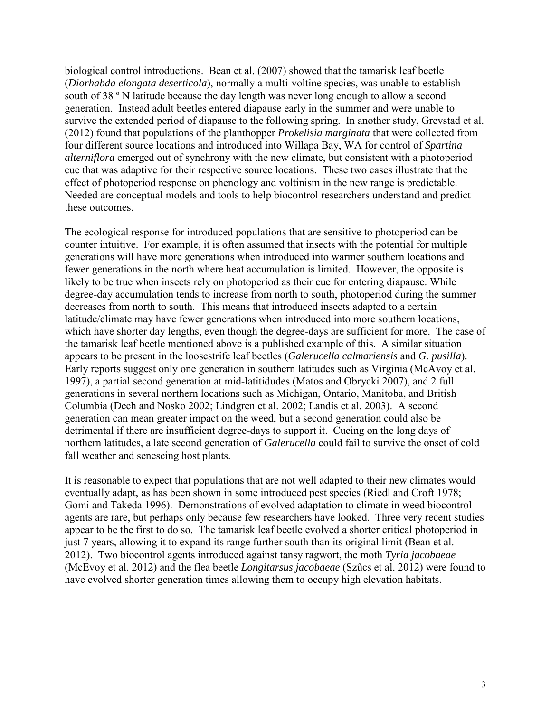biological control introductions. Bean et al. (2007) showed that the tamarisk leaf beetle (*Diorhabda elongata deserticola*), normally a multi-voltine species, was unable to establish south of 38 º N latitude because the day length was never long enough to allow a second generation. Instead adult beetles entered diapause early in the summer and were unable to survive the extended period of diapause to the following spring. In another study, Grevstad et al. (2012) found that populations of the planthopper *Prokelisia marginata* that were collected from four different source locations and introduced into Willapa Bay, WA for control of *Spartina alterniflora* emerged out of synchrony with the new climate, but consistent with a photoperiod cue that was adaptive for their respective source locations. These two cases illustrate that the effect of photoperiod response on phenology and voltinism in the new range is predictable. Needed are conceptual models and tools to help biocontrol researchers understand and predict these outcomes.

The ecological response for introduced populations that are sensitive to photoperiod can be counter intuitive. For example, it is often assumed that insects with the potential for multiple generations will have more generations when introduced into warmer southern locations and fewer generations in the north where heat accumulation is limited. However, the opposite is likely to be true when insects rely on photoperiod as their cue for entering diapause. While degree-day accumulation tends to increase from north to south, photoperiod during the summer decreases from north to south. This means that introduced insects adapted to a certain latitude/climate may have fewer generations when introduced into more southern locations, which have shorter day lengths, even though the degree-days are sufficient for more. The case of the tamarisk leaf beetle mentioned above is a published example of this. A similar situation appears to be present in the loosestrife leaf beetles (*Galerucella calmariensis* and *G. pusilla*). Early reports suggest only one generation in southern latitudes such as Virginia (McAvoy et al. 1997), a partial second generation at mid-latitidudes (Matos and Obrycki 2007), and 2 full generations in several northern locations such as Michigan, Ontario, Manitoba, and British Columbia (Dech and Nosko 2002; Lindgren et al. 2002; Landis et al. 2003). A second generation can mean greater impact on the weed, but a second generation could also be detrimental if there are insufficient degree-days to support it. Cueing on the long days of northern latitudes, a late second generation of *Galerucella* could fail to survive the onset of cold fall weather and senescing host plants.

It is reasonable to expect that populations that are not well adapted to their new climates would eventually adapt, as has been shown in some introduced pest species (Riedl and Croft 1978; Gomi and Takeda 1996). Demonstrations of evolved adaptation to climate in weed biocontrol agents are rare, but perhaps only because few researchers have looked. Three very recent studies appear to be the first to do so. The tamarisk leaf beetle evolved a shorter critical photoperiod in just 7 years, allowing it to expand its range further south than its original limit (Bean et al. 2012). Two biocontrol agents introduced against tansy ragwort, the moth *Tyria jacobaeae* (McEvoy et al. 2012) and the flea beetle *Longitarsus jacobaeae* (Szűcs et al. 2012) were found to have evolved shorter generation times allowing them to occupy high elevation habitats.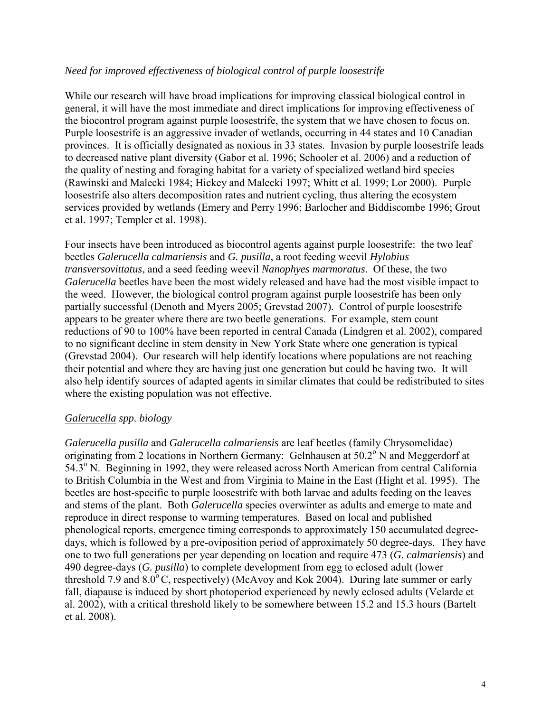### *Need for improved effectiveness of biological control of purple loosestrife*

While our research will have broad implications for improving classical biological control in general, it will have the most immediate and direct implications for improving effectiveness of the biocontrol program against purple loosestrife, the system that we have chosen to focus on. Purple loosestrife is an aggressive invader of wetlands, occurring in 44 states and 10 Canadian provinces. It is officially designated as noxious in 33 states. Invasion by purple loosestrife leads to decreased native plant diversity (Gabor et al. 1996; Schooler et al. 2006) and a reduction of the quality of nesting and foraging habitat for a variety of specialized wetland bird species (Rawinski and Malecki 1984; Hickey and Malecki 1997; Whitt et al. 1999; Lor 2000). Purple loosestrife also alters decomposition rates and nutrient cycling, thus altering the ecosystem services provided by wetlands (Emery and Perry 1996; Barlocher and Biddiscombe 1996; Grout et al. 1997; Templer et al. 1998).

Four insects have been introduced as biocontrol agents against purple loosestrife: the two leaf beetles *Galerucella calmariensis* and *G. pusilla*, a root feeding weevil *Hylobius transversovittatus*, and a seed feeding weevil *Nanophyes marmoratus*. Of these, the two *Galerucella* beetles have been the most widely released and have had the most visible impact to the weed. However, the biological control program against purple loosestrife has been only partially successful (Denoth and Myers 2005; Grevstad 2007). Control of purple loosestrife appears to be greater where there are two beetle generations. For example, stem count reductions of 90 to 100% have been reported in central Canada (Lindgren et al. 2002), compared to no significant decline in stem density in New York State where one generation is typical (Grevstad 2004). Our research will help identify locations where populations are not reaching their potential and where they are having just one generation but could be having two. It will also help identify sources of adapted agents in similar climates that could be redistributed to sites where the existing population was not effective.

### *Galerucella spp. biology*

*Galerucella pusilla* and *Galerucella calmariensis* are leaf beetles (family Chrysomelidae) originating from 2 locations in Northern Germany: Gelnhausen at  $50.2^\circ$  N and Meggerdorf at 54.3<sup>o</sup> N. Beginning in 1992, they were released across North American from central California to British Columbia in the West and from Virginia to Maine in the East (Hight et al. 1995). The beetles are host-specific to purple loosestrife with both larvae and adults feeding on the leaves and stems of the plant. Both *Galerucella* species overwinter as adults and emerge to mate and reproduce in direct response to warming temperatures. Based on local and published phenological reports, emergence timing corresponds to approximately 150 accumulated degreedays, which is followed by a pre-oviposition period of approximately 50 degree-days. They have one to two full generations per year depending on location and require 473 (*G. calmariensis*) and 490 degree-days (*G. pusilla*) to complete development from egg to eclosed adult (lower threshold 7.9 and  $8.0^{\circ}$ C, respectively) (McAvoy and Kok 2004). During late summer or early fall, diapause is induced by short photoperiod experienced by newly eclosed adults (Velarde et al. 2002), with a critical threshold likely to be somewhere between 15.2 and 15.3 hours (Bartelt et al. 2008).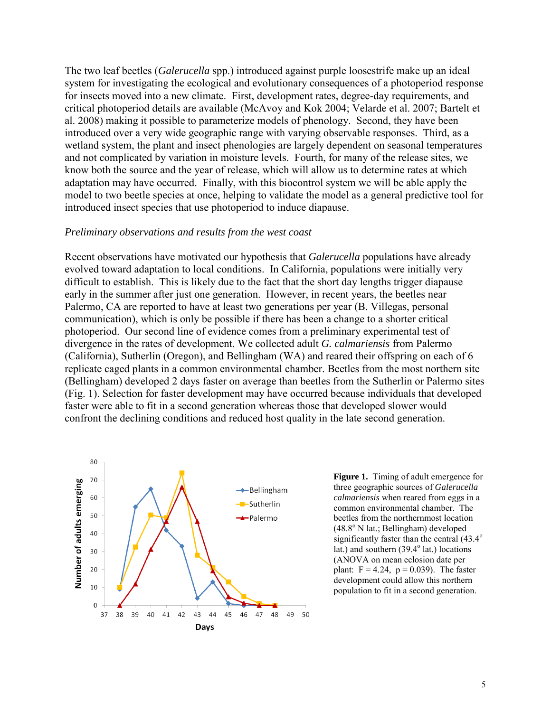The two leaf beetles (*Galerucella* spp.) introduced against purple loosestrife make up an ideal system for investigating the ecological and evolutionary consequences of a photoperiod response for insects moved into a new climate. First, development rates, degree-day requirements, and critical photoperiod details are available (McAvoy and Kok 2004; Velarde et al. 2007; Bartelt et al. 2008) making it possible to parameterize models of phenology. Second, they have been introduced over a very wide geographic range with varying observable responses. Third, as a wetland system, the plant and insect phenologies are largely dependent on seasonal temperatures and not complicated by variation in moisture levels. Fourth, for many of the release sites, we know both the source and the year of release, which will allow us to determine rates at which adaptation may have occurred. Finally, with this biocontrol system we will be able apply the model to two beetle species at once, helping to validate the model as a general predictive tool for introduced insect species that use photoperiod to induce diapause.

#### *Preliminary observations and results from the west coast*

Recent observations have motivated our hypothesis that *Galerucella* populations have already evolved toward adaptation to local conditions. In California, populations were initially very difficult to establish. This is likely due to the fact that the short day lengths trigger diapause early in the summer after just one generation. However, in recent years, the beetles near Palermo, CA are reported to have at least two generations per year (B. Villegas, personal communication), which is only be possible if there has been a change to a shorter critical photoperiod. Our second line of evidence comes from a preliminary experimental test of divergence in the rates of development. We collected adult *G. calmariensis* from Palermo (California), Sutherlin (Oregon), and Bellingham (WA) and reared their offspring on each of 6 replicate caged plants in a common environmental chamber. Beetles from the most northern site (Bellingham) developed 2 days faster on average than beetles from the Sutherlin or Palermo sites (Fig. 1). Selection for faster development may have occurred because individuals that developed faster were able to fit in a second generation whereas those that developed slower would confront the declining conditions and reduced host quality in the late second generation.



**Figure 1.** Timing of adult emergence for three geographic sources of *Galerucella calmariensis* when reared from eggs in a common environmental chamber. The beetles from the northernmost location  $(48.8^{\circ} \text{ N} \text{ lat.}; \text{Bellingham})$  developed significantly faster than the central  $(43.4^{\circ}$ lat.) and southern  $(39.4^{\circ})$  lat.) locations (ANOVA on mean eclosion date per plant:  $F = 4.24$ ,  $p = 0.039$ ). The faster development could allow this northern population to fit in a second generation.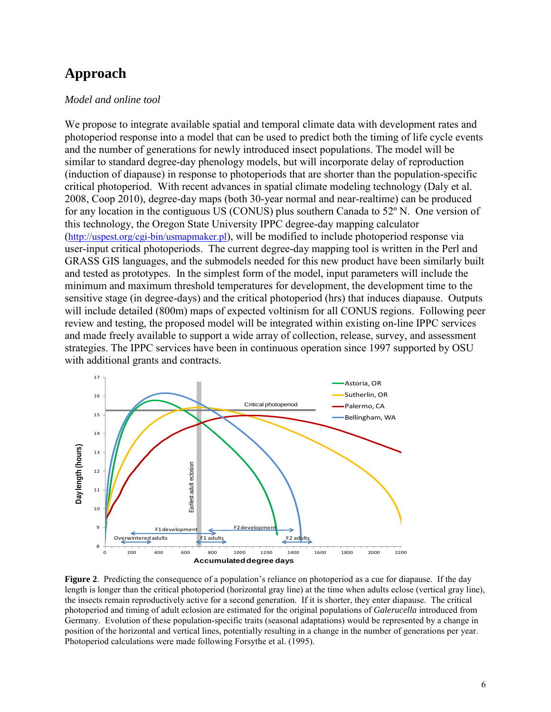## **Approach**

#### *Model and online tool*

We propose to integrate available spatial and temporal climate data with development rates and photoperiod response into a model that can be used to predict both the timing of life cycle events and the number of generations for newly introduced insect populations. The model will be similar to standard degree-day phenology models, but will incorporate delay of reproduction (induction of diapause) in response to photoperiods that are shorter than the population-specific critical photoperiod. With recent advances in spatial climate modeling technology (Daly et al. 2008, Coop 2010), degree-day maps (both 30-year normal and near-realtime) can be produced for any location in the contiguous US (CONUS) plus southern Canada to 52º N. One version of this technology, the Oregon State University IPPC degree-day mapping calculator [\(http://uspest.org/cgi-bin/usmapmaker.pl\)](http://uspest.org/cgi-bin/usmapmaker.pl), will be modified to include photoperiod response via user-input critical photoperiods. The current degree-day mapping tool is written in the Perl and GRASS GIS languages, and the submodels needed for this new product have been similarly built and tested as prototypes. In the simplest form of the model, input parameters will include the minimum and maximum threshold temperatures for development, the development time to the sensitive stage (in degree-days) and the critical photoperiod (hrs) that induces diapause. Outputs will include detailed (800m) maps of expected voltinism for all CONUS regions. Following peer review and testing, the proposed model will be integrated within existing on-line IPPC services and made freely available to support a wide array of collection, release, survey, and assessment strategies. The IPPC services have been in continuous operation since 1997 supported by OSU with additional grants and contracts.



**Figure 2**. Predicting the consequence of a population's reliance on photoperiod as a cue for diapause. If the day length is longer than the critical photoperiod (horizontal gray line) at the time when adults eclose (vertical gray line), the insects remain reproductively active for a second generation. If it is shorter, they enter diapause. The critical photoperiod and timing of adult eclosion are estimated for the original populations of *Galerucella* introduced from Germany. Evolution of these population-specific traits (seasonal adaptations) would be represented by a change in position of the horizontal and vertical lines, potentially resulting in a change in the number of generations per year. Photoperiod calculations were made following Forsythe et al. (1995).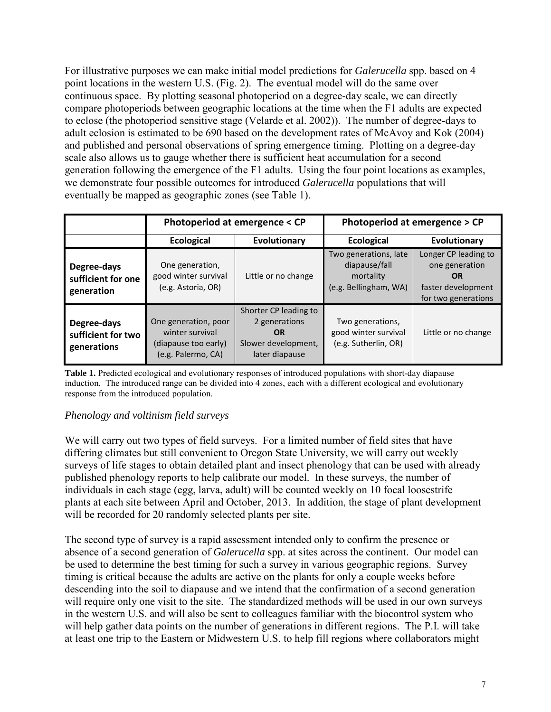For illustrative purposes we can make initial model predictions for *Galerucella* spp. based on 4 point locations in the western U.S. (Fig. 2). The eventual model will do the same over continuous space. By plotting seasonal photoperiod on a degree-day scale, we can directly compare photoperiods between geographic locations at the time when the F1 adults are expected to eclose (the photoperiod sensitive stage (Velarde et al. 2002)). The number of degree-days to adult eclosion is estimated to be 690 based on the development rates of McAvoy and Kok (2004) and published and personal observations of spring emergence timing. Plotting on a degree-day scale also allows us to gauge whether there is sufficient heat accumulation for a second generation following the emergence of the F1 adults. Using the four point locations as examples, we demonstrate four possible outcomes for introduced *Galerucella* populations that will eventually be mapped as geographic zones (see Table 1).

|                                                  |                                                                                       | Photoperiod at emergence < CP                                                                | Photoperiod at emergence > CP                                                |                                                                                                  |  |
|--------------------------------------------------|---------------------------------------------------------------------------------------|----------------------------------------------------------------------------------------------|------------------------------------------------------------------------------|--------------------------------------------------------------------------------------------------|--|
|                                                  | <b>Ecological</b>                                                                     | Evolutionary                                                                                 | <b>Ecological</b>                                                            | Evolutionary                                                                                     |  |
| Degree-days<br>sufficient for one<br>generation  | One generation,<br>good winter survival<br>(e.g. Astoria, OR)                         | Little or no change                                                                          | Two generations, late<br>diapause/fall<br>mortality<br>(e.g. Bellingham, WA) | Longer CP leading to<br>one generation<br><b>OR</b><br>faster development<br>for two generations |  |
| Degree-days<br>sufficient for two<br>generations | One generation, poor<br>winter survival<br>(diapause too early)<br>(e.g. Palermo, CA) | Shorter CP leading to<br>2 generations<br><b>OR</b><br>Slower development,<br>later diapause | Two generations,<br>good winter survival<br>(e.g. Sutherlin, OR)             | Little or no change                                                                              |  |

**Table 1.** Predicted ecological and evolutionary responses of introduced populations with short-day diapause induction. The introduced range can be divided into 4 zones, each with a different ecological and evolutionary response from the introduced population.

### *Phenology and voltinism field surveys*

We will carry out two types of field surveys. For a limited number of field sites that have differing climates but still convenient to Oregon State University, we will carry out weekly surveys of life stages to obtain detailed plant and insect phenology that can be used with already published phenology reports to help calibrate our model. In these surveys, the number of individuals in each stage (egg, larva, adult) will be counted weekly on 10 focal loosestrife plants at each site between April and October, 2013. In addition, the stage of plant development will be recorded for 20 randomly selected plants per site.

The second type of survey is a rapid assessment intended only to confirm the presence or absence of a second generation of *Galerucella* spp. at sites across the continent. Our model can be used to determine the best timing for such a survey in various geographic regions. Survey timing is critical because the adults are active on the plants for only a couple weeks before descending into the soil to diapause and we intend that the confirmation of a second generation will require only one visit to the site. The standardized methods will be used in our own surveys in the western U.S. and will also be sent to colleagues familiar with the biocontrol system who will help gather data points on the number of generations in different regions. The P.I. will take at least one trip to the Eastern or Midwestern U.S. to help fill regions where collaborators might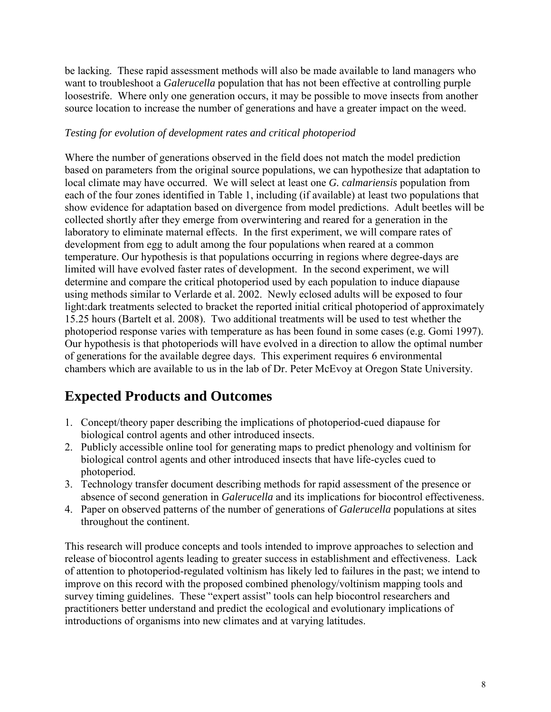be lacking. These rapid assessment methods will also be made available to land managers who want to troubleshoot a *Galerucella* population that has not been effective at controlling purple loosestrife. Where only one generation occurs, it may be possible to move insects from another source location to increase the number of generations and have a greater impact on the weed.

## *Testing for evolution of development rates and critical photoperiod*

Where the number of generations observed in the field does not match the model prediction based on parameters from the original source populations, we can hypothesize that adaptation to local climate may have occurred. We will select at least one *G. calmariensis* population from each of the four zones identified in Table 1, including (if available) at least two populations that show evidence for adaptation based on divergence from model predictions. Adult beetles will be collected shortly after they emerge from overwintering and reared for a generation in the laboratory to eliminate maternal effects. In the first experiment, we will compare rates of development from egg to adult among the four populations when reared at a common temperature. Our hypothesis is that populations occurring in regions where degree-days are limited will have evolved faster rates of development. In the second experiment, we will determine and compare the critical photoperiod used by each population to induce diapause using methods similar to Verlarde et al. 2002. Newly eclosed adults will be exposed to four light:dark treatments selected to bracket the reported initial critical photoperiod of approximately 15.25 hours (Bartelt et al. 2008). Two additional treatments will be used to test whether the photoperiod response varies with temperature as has been found in some cases (e.g. Gomi 1997). Our hypothesis is that photoperiods will have evolved in a direction to allow the optimal number of generations for the available degree days. This experiment requires 6 environmental chambers which are available to us in the lab of Dr. Peter McEvoy at Oregon State University.

# **Expected Products and Outcomes**

- 1. Concept/theory paper describing the implications of photoperiod-cued diapause for biological control agents and other introduced insects.
- 2. Publicly accessible online tool for generating maps to predict phenology and voltinism for biological control agents and other introduced insects that have life-cycles cued to photoperiod.
- 3. Technology transfer document describing methods for rapid assessment of the presence or absence of second generation in *Galerucella* and its implications for biocontrol effectiveness.
- 4. Paper on observed patterns of the number of generations of *Galerucella* populations at sites throughout the continent.

This research will produce concepts and tools intended to improve approaches to selection and release of biocontrol agents leading to greater success in establishment and effectiveness. Lack of attention to photoperiod-regulated voltinism has likely led to failures in the past; we intend to improve on this record with the proposed combined phenology/voltinism mapping tools and survey timing guidelines. These "expert assist" tools can help biocontrol researchers and practitioners better understand and predict the ecological and evolutionary implications of introductions of organisms into new climates and at varying latitudes.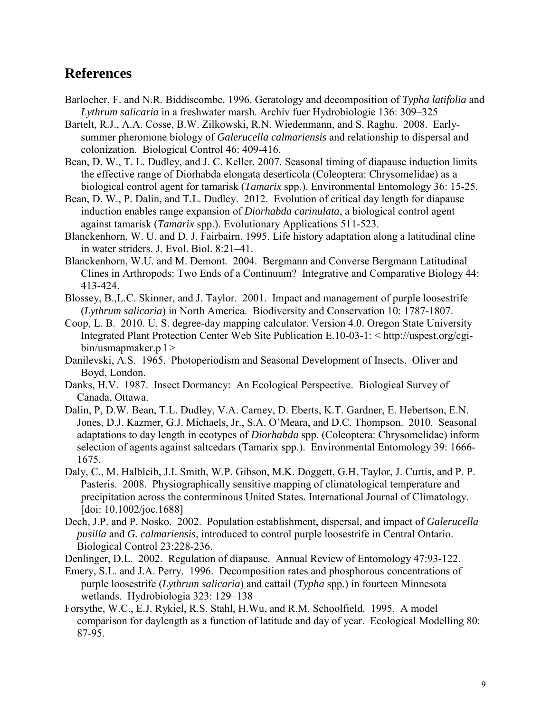## **References**

- Barlocher, F. and N.R. Biddiscombe. 1996. Geratology and decomposition of *Typha latifolia* and *Lythrum salicaria* in a freshwater marsh. Archiv fuer Hydrobiologie 136: 309–325
- Bartelt, R.J., A.A. Cosse, B.W. Zilkowski, R.N. Wiedenmann, and S. Raghu. 2008. Earlysummer pheromone biology of *Galerucella calmariensis* and relationship to dispersal and colonization. Biological Control 46: 409-416.
- Bean, D. W., T. L. Dudley, and J. C. Keller. 2007. Seasonal timing of diapause induction limits the effective range of Diorhabda elongata deserticola (Coleoptera: Chrysomelidae) as a biological control agent for tamarisk (*Tamarix* spp.). Environmental Entomology 36: 15-25.
- Bean, D. W., P. Dalin, and T.L. Dudley. 2012. Evolution of critical day length for diapause induction enables range expansion of *Diorhabda carinulata*, a biological control agent against tamarisk (*Tamarix* spp.). Evolutionary Applications 511-523.
- Blanckenhorn, W. U. and D. J. Fairbairn. 1995. Life history adaptation along a latitudinal cline in water striders. J. Evol. Biol. 8:21–41.
- Blanckenhorn, W.U. and M. Demont. 2004. Bergmann and Converse Bergmann Latitudinal Clines in Arthropods: Two Ends of a Continuum? Integrative and Comparative Biology 44: 413-424.
- Blossey, B.,L.C. Skinner, and J. Taylor. 2001. Impact and management of purple loosestrife (*Lythrum salicaria*) in North America. Biodiversity and Conservation 10: 1787-1807.
- Coop, L. B. 2010. U. S. degree-day mapping calculator. Version 4.0. Oregon State University Integrated Plant Protection Center Web Site Publication E.10-03-1: < http://uspest.org/cgi $bin/\text{usmapmaker.p}$  | >
- Danilevski, A.S. 1965. Photoperiodism and Seasonal Development of Insects. Oliver and Boyd, London.
- Danks, H.V. 1987. Insect Dormancy: An Ecological Perspective. Biological Survey of Canada, Ottawa.
- Dalin, P, D.W. Bean, T.L. Dudley, V.A. Carney, D. Eberts, K.T. Gardner, E. Hebertson, E.N. Jones, D.J. Kazmer, G.J. Michaels, Jr., S.A. O'Meara, and D.C. Thompson. 2010. Seasonal adaptations to day length in ecotypes of *Diorhabda* spp. (Coleoptera: Chrysomelidae) inform selection of agents against saltcedars (Tamarix spp.). Environmental Entomology 39: 1666- 1675.
- Daly, C., M. Halbleib, J.I. Smith, W.P. Gibson, M.K. Doggett, G.H. Taylor, J. Curtis, and P. P. Pasteris. 2008. Physiographically sensitive mapping of climatological temperature and precipitation across the conterminous United States. International Journal of Climatology. [doi: 10.1002/joc.1688]
- Dech, J.P. and P. Nosko. 2002. Population establishment, dispersal, and impact of *Galerucella pusilla* and *G. calmariensis*, introduced to control purple loosestrife in Central Ontario. Biological Control 23:228-236.

Denlinger, D.L. 2002. Regulation of diapause. Annual Review of Entomology 47:93-122.

- Emery, S.L. and J.A. Perry. 1996. Decomposition rates and phosphorous concentrations of purple loosestrife (*Lythrum salicaria*) and cattail (*Typha* spp.) in fourteen Minnesota wetlands. Hydrobiologia 323: 129–138
- Forsythe, W.C., E.J. Rykiel, R.S. Stahl, H.Wu, and R.M. Schoolfield. 1995. A model comparison for daylength as a function of latitude and day of year. Ecological Modelling 80: 87-95.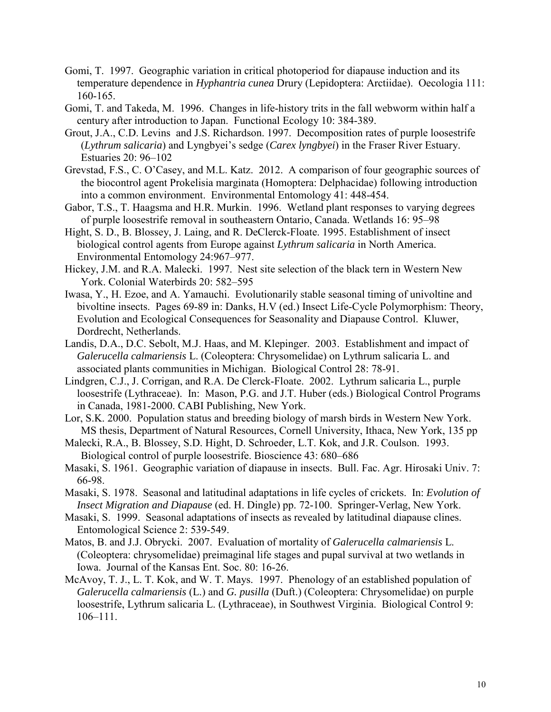- Gomi, T. 1997. Geographic variation in critical photoperiod for diapause induction and its temperature dependence in *Hyphantria cunea* Drury (Lepidoptera: Arctiidae). Oecologia 111: 160-165.
- Gomi, T. and Takeda, M. 1996. Changes in life-history trits in the fall webworm within half a century after introduction to Japan. Functional Ecology 10: 384-389.
- Grout, J.A., C.D. Levins and J.S. Richardson. 1997. Decomposition rates of purple loosestrife (*Lythrum salicaria*) and Lyngbyei's sedge (*Carex lyngbyei*) in the Fraser River Estuary. Estuaries 20: 96–102
- Grevstad, F.S., C. O'Casey, and M.L. Katz. 2012. A comparison of four geographic sources of the biocontrol agent Prokelisia marginata (Homoptera: Delphacidae) following introduction into a common environment. Environmental Entomology 41: 448-454.
- Gabor, T.S., T. Haagsma and H.R. Murkin. 1996. Wetland plant responses to varying degrees of purple loosestrife removal in southeastern Ontario, Canada. Wetlands 16: 95–98
- Hight, S. D., B. Blossey, J. Laing, and R. DeClerck-Floate. 1995. Establishment of insect biological control agents from Europe against *Lythrum salicaria* in North America. Environmental Entomology 24:967–977.
- Hickey, J.M. and R.A. Malecki. 1997. Nest site selection of the black tern in Western New York. Colonial Waterbirds 20: 582–595
- Iwasa, Y., H. Ezoe, and A. Yamauchi. Evolutionarily stable seasonal timing of univoltine and bivoltine insects. Pages 69-89 in: Danks, H.V (ed.) Insect Life-Cycle Polymorphism: Theory, Evolution and Ecological Consequences for Seasonality and Diapause Control. Kluwer, Dordrecht, Netherlands.
- Landis, D.A., D.C. Sebolt, M.J. Haas, and M. Klepinger. 2003. Establishment and impact of *Galerucella calmariensis* L. (Coleoptera: Chrysomelidae) on Lythrum salicaria L. and associated plants communities in Michigan. Biological Control 28: 78-91.
- Lindgren, C.J., J. Corrigan, and R.A. De Clerck-Floate. 2002. Lythrum salicaria L., purple loosestrife (Lythraceae). In: Mason, P.G. and J.T. Huber (eds.) Biological Control Programs in Canada, 1981-2000. CABI Publishing, New York.
- Lor, S.K. 2000. Population status and breeding biology of marsh birds in Western New York. MS thesis, Department of Natural Resources, Cornell University, Ithaca, New York, 135 pp
- Malecki, R.A., B. Blossey, S.D. Hight, D. Schroeder, L.T. Kok, and J.R. Coulson. 1993. Biological control of purple loosestrife. Bioscience 43: 680–686
- Masaki, S. 1961. Geographic variation of diapause in insects. Bull. Fac. Agr. Hirosaki Univ. 7: 66-98.
- Masaki, S. 1978. Seasonal and latitudinal adaptations in life cycles of crickets. In: *Evolution of Insect Migration and Diapause* (ed. H. Dingle) pp. 72-100. Springer-Verlag, New York.
- Masaki, S. 1999. Seasonal adaptations of insects as revealed by latitudinal diapause clines. Entomological Science 2: 539-549.
- Matos, B. and J.J. Obrycki. 2007. Evaluation of mortality of *Galerucella calmariensis* L. (Coleoptera: chrysomelidae) preimaginal life stages and pupal survival at two wetlands in Iowa. Journal of the Kansas Ent. Soc. 80: 16-26.
- McAvoy, T. J., L. T. Kok, and W. T. Mays. 1997. Phenology of an established population of *Galerucella calmariensis* (L.) and *G. pusilla* (Duft.) (Coleoptera: Chrysomelidae) on purple loosestrife, Lythrum salicaria L. (Lythraceae), in Southwest Virginia. Biological Control 9: 106–111.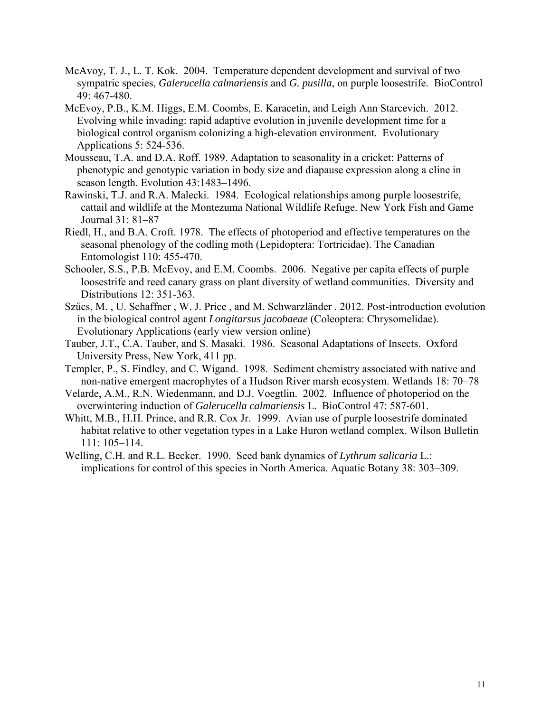- McAvoy, T. J., L. T. Kok. 2004. Temperature dependent development and survival of two sympatric species, *Galerucella calmariensis* and *G. pusilla*, on purple loosestrife. BioControl 49: 467-480.
- McEvoy, P.B., K.M. Higgs, E.M. Coombs, E. Karacetin, and Leigh Ann Starcevich. 2012. Evolving while invading: rapid adaptive evolution in juvenile development time for a biological control organism colonizing a high-elevation environment. Evolutionary Applications 5: 524-536.
- Mousseau, T.A. and D.A. Roff. 1989. Adaptation to seasonality in a cricket: Patterns of phenotypic and genotypic variation in body size and diapause expression along a cline in season length. Evolution 43:1483–1496.
- Rawinski, T.J. and R.A. Malecki. 1984. Ecological relationships among purple loosestrife, cattail and wildlife at the Montezuma National Wildlife Refuge. New York Fish and Game Journal 31: 81–87
- Riedl, H., and B.A. Croft. 1978. The effects of photoperiod and effective temperatures on the seasonal phenology of the codling moth (Lepidoptera: Tortricidae). The Canadian Entomologist 110: 455-470.
- Schooler, S.S., P.B. McEvoy, and E.M. Coombs. 2006. Negative per capita effects of purple loosestrife and reed canary grass on plant diversity of wetland communities. Diversity and Distributions 12: 351-363.
- Szűcs, M. , U. Schaffner , W. J. Price , and M. Schwarzländer . 2012. Post-introduction evolution in the biological control agent *Longitarsus jacobaeae* (Coleoptera: Chrysomelidae). Evolutionary Applications (early view version online)
- Tauber, J.T., C.A. Tauber, and S. Masaki. 1986. Seasonal Adaptations of Insects. Oxford University Press, New York, 411 pp.
- Templer, P., S. Findley, and C. Wigand. 1998. Sediment chemistry associated with native and non-native emergent macrophytes of a Hudson River marsh ecosystem. Wetlands 18: 70–78
- Velarde, A.M., R.N. Wiedenmann, and D.J. Voegtlin. 2002. Influence of photoperiod on the overwintering induction of *Galerucella calmariensis* L. BioControl 47: 587-601.
- Whitt, M.B., H.H. Prince, and R.R. Cox Jr. 1999. Avian use of purple loosestrife dominated habitat relative to other vegetation types in a Lake Huron wetland complex. Wilson Bulletin 111: 105–114.
- Welling, C.H. and R.L. Becker. 1990. Seed bank dynamics of *Lythrum salicaria* L.: implications for control of this species in North America. Aquatic Botany 38: 303–309.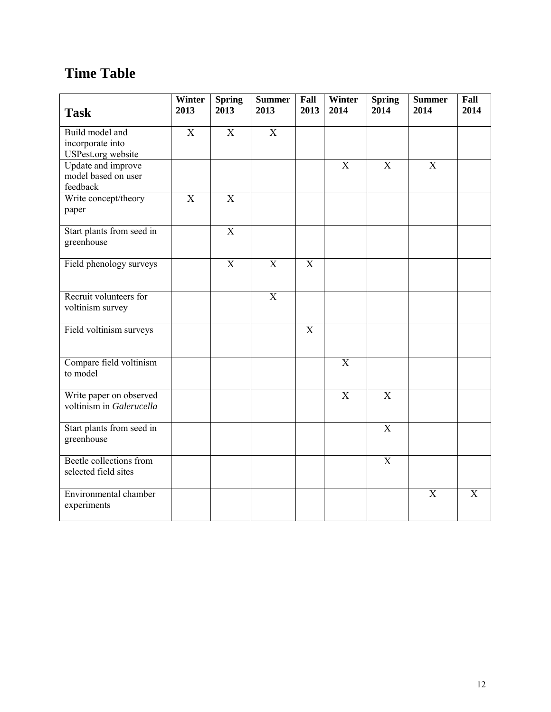# **Time Table**

| <b>Task</b>                                                      | Winter<br>2013            | <b>Spring</b><br>2013     | <b>Summer</b><br>2013     | Fall<br>2013 | Winter<br>2014            | <b>Spring</b><br>2014 | <b>Summer</b><br>2014 | Fall<br>2014 |
|------------------------------------------------------------------|---------------------------|---------------------------|---------------------------|--------------|---------------------------|-----------------------|-----------------------|--------------|
| Build model and<br>incorporate into<br><b>USPest.org</b> website | $\overline{X}$            | $\overline{X}$            | $\overline{X}$            |              |                           |                       |                       |              |
| <b>Update</b> and improve<br>model based on user<br>feedback     |                           |                           |                           |              | X                         | $\overline{X}$        | $\overline{X}$        |              |
| Write concept/theory<br>paper                                    | $\boldsymbol{\mathrm{X}}$ | $\mathbf X$               |                           |              |                           |                       |                       |              |
| Start plants from seed in<br>greenhouse                          |                           | $\overline{X}$            |                           |              |                           |                       |                       |              |
| Field phenology surveys                                          |                           | $\boldsymbol{\mathrm{X}}$ | $\boldsymbol{\mathrm{X}}$ | $\mathbf X$  |                           |                       |                       |              |
| Recruit volunteers for<br>voltinism survey                       |                           |                           | $\overline{X}$            |              |                           |                       |                       |              |
| Field voltinism surveys                                          |                           |                           |                           | $\mathbf X$  |                           |                       |                       |              |
| Compare field voltinism<br>to model                              |                           |                           |                           |              | $\overline{X}$            |                       |                       |              |
| Write paper on observed<br>voltinism in Galerucella              |                           |                           |                           |              | $\boldsymbol{\mathrm{X}}$ | $\overline{X}$        |                       |              |
| Start plants from seed in<br>greenhouse                          |                           |                           |                           |              |                           | X                     |                       |              |
| Beetle collections from<br>selected field sites                  |                           |                           |                           |              |                           | $\overline{X}$        |                       |              |
| Environmental chamber<br>experiments                             |                           |                           |                           |              |                           |                       | X                     | X            |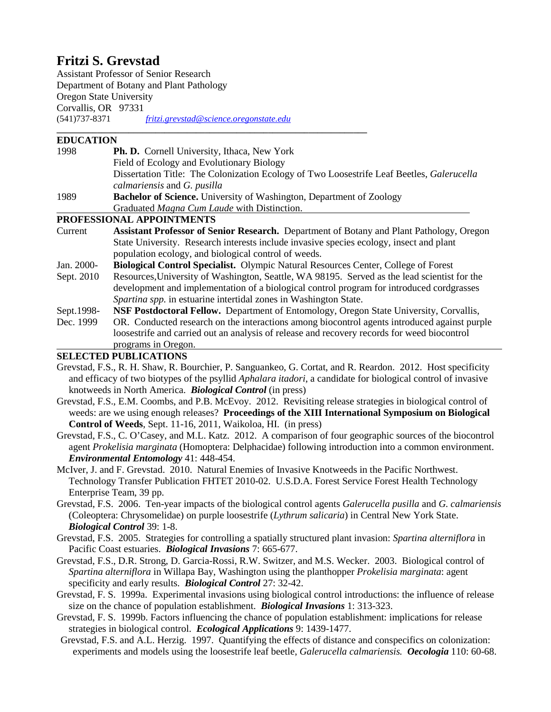## **Fritzi S. Grevstad**

Assistant Professor of Senior Research Department of Botany and Plant Pathology Oregon State University Corvallis, OR 97331<br>(541)737-8371 (541)737-8371 *[fritzi.grevstad@science.oregonstate.edu](mailto:fritzi.grevstad@science.oregonstate.edu)*

#### **\_\_\_\_\_\_\_\_\_\_\_\_\_\_\_\_\_\_\_\_\_\_\_\_\_\_\_\_\_\_\_\_\_\_\_\_\_\_\_\_\_\_\_\_\_\_\_\_\_\_\_\_\_\_\_\_\_\_\_\_\_\_\_\_\_\_\_\_\_ EDUCATION**

| 1998       | Ph. D. Cornell University, Ithaca, New York                                                     |  |  |  |  |
|------------|-------------------------------------------------------------------------------------------------|--|--|--|--|
|            | Field of Ecology and Evolutionary Biology                                                       |  |  |  |  |
|            | Dissertation Title: The Colonization Ecology of Two Loosestrife Leaf Beetles, Galerucella       |  |  |  |  |
|            | calmariensis and G. pusilla                                                                     |  |  |  |  |
| 1989       | <b>Bachelor of Science.</b> University of Washington, Department of Zoology                     |  |  |  |  |
|            | Graduated Magna Cum Laude with Distinction.                                                     |  |  |  |  |
|            | PROFESSIONAL APPOINTMENTS                                                                       |  |  |  |  |
| Current    | <b>Assistant Professor of Senior Research.</b> Department of Botany and Plant Pathology, Oregon |  |  |  |  |
|            | State University. Research interests include invasive species ecology, insect and plant         |  |  |  |  |
|            | population ecology, and biological control of weeds.                                            |  |  |  |  |
| Jan. 2000- | <b>Biological Control Specialist.</b> Olympic Natural Resources Center, College of Forest       |  |  |  |  |
| Sept. 2010 | Resources, University of Washington, Seattle, WA 98195. Served as the lead scientist for the    |  |  |  |  |
|            | development and implementation of a biological control program for introduced cordgrasses       |  |  |  |  |
|            | Spartina spp. in estuarine intertidal zones in Washington State.                                |  |  |  |  |
| Sept.1998- | <b>NSF Postdoctoral Fellow.</b> Department of Entomology, Oregon State University, Corvallis,   |  |  |  |  |
| Dec. 1999  | OR. Conducted research on the interactions among biocontrol agents introduced against purple    |  |  |  |  |
|            | loosestrife and carried out an analysis of release and recovery records for weed biocontrol     |  |  |  |  |
|            | programs in Oregon.                                                                             |  |  |  |  |
|            | <b>SELECTED PUBLICATIONS</b>                                                                    |  |  |  |  |

Grevstad, F.S., R. H. Shaw, R. Bourchier, P. Sanguankeo, G. Cortat, and R. Reardon. 2012. Host specificity and efficacy of two biotypes of the psyllid *Aphalara itadori*, a candidate for biological control of invasive knotweeds in North America. *Biological Control* (in press)

Grevstad, F.S., E.M. Coombs, and P.B. McEvoy. 2012. Revisiting release strategies in biological control of weeds: are we using enough releases? **Proceedings of the XIII International Symposium on Biological Control of Weeds**, Sept. 11-16, 2011, Waikoloa, HI. (in press)

Grevstad, F.S., C. O'Casey, and M.L. Katz. 2012. A comparison of four geographic sources of the biocontrol agent *Prokelisia marginata* (Homoptera: Delphacidae) following introduction into a common environment. *Environmental Entomology* 41: 448-454.

McIver, J. and F. Grevstad. 2010. Natural Enemies of Invasive Knotweeds in the Pacific Northwest. Technology Transfer Publication FHTET 2010-02. U.S.D.A. Forest Service Forest Health Technology Enterprise Team, 39 pp.

Grevstad, F.S. 2006. Ten-year impacts of the biological control agents *Galerucella pusilla* and *G. calmariensis* (Coleoptera: Chrysomelidae) on purple loosestrife (*Lythrum salicaria*) in Central New York State. *Biological Control* 39: 1-8.

Grevstad, F.S. 2005. Strategies for controlling a spatially structured plant invasion: *Spartina alterniflora* in Pacific Coast estuaries. *Biological Invasions* 7: 665-677.

Grevstad, F.S., D.R. Strong, D. Garcia-Rossi, R.W. Switzer, and M.S. Wecker. 2003. Biological control of *Spartina alterniflora* in Willapa Bay, Washington using the planthopper *Prokelisia marginata*: agent specificity and early results. *Biological Control* 27: 32-42.

Grevstad, F. S. 1999a. Experimental invasions using biological control introductions: the influence of release size on the chance of population establishment. *Biological Invasions* 1: 313-323.

Grevstad, F. S. 1999b. Factors influencing the chance of population establishment: implications for release strategies in biological control. *Ecological Applications* 9: 1439-1477.

Grevstad, F.S. and A.L. Herzig. 1997. Quantifying the effects of distance and conspecifics on colonization: experiments and models using the loosestrife leaf beetle, *Galerucella calmariensis. Oecologia* 110: 60-68.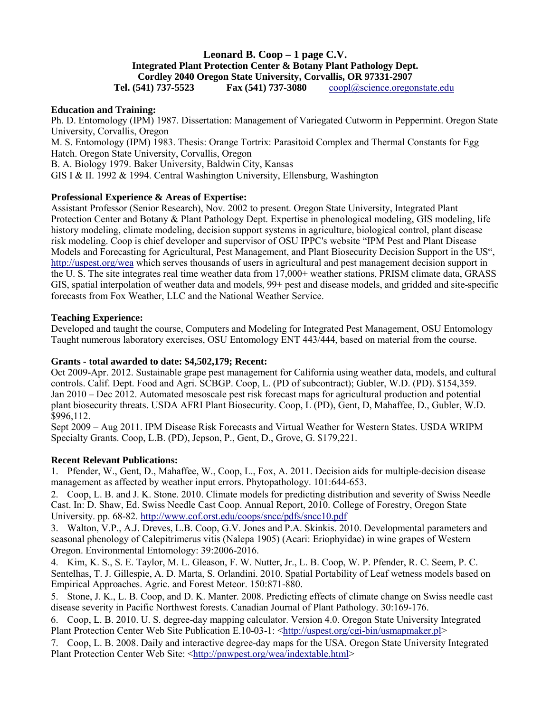## **Leonard B. Coop – 1 page C.V. Integrated Plant Protection Center & Botany Plant Pathology Dept. Cordley 2040 Oregon State University, Corvallis, OR 97331-2907**

 **Tel. (541) 737-5523 Fax (541) 737-3080** [coopl@science.oregonstate.edu](mailto:coopl@science.oregonstate.edu)

### **Education and Training:**

Ph. D. Entomology (IPM) 1987. Dissertation: Management of Variegated Cutworm in Peppermint. Oregon State University, Corvallis, Oregon M. S. Entomology (IPM) 1983. Thesis: Orange Tortrix: Parasitoid Complex and Thermal Constants for Egg Hatch. Oregon State University, Corvallis, Oregon B. A. Biology 1979. Baker University, Baldwin City, Kansas

GIS I & II. 1992 & 1994. Central Washington University, Ellensburg, Washington

### **Professional Experience & Areas of Expertise:**

Assistant Professor (Senior Research), Nov. 2002 to present. Oregon State University, Integrated Plant Protection Center and Botany & Plant Pathology Dept. Expertise in phenological modeling, GIS modeling, life history modeling, climate modeling, decision support systems in agriculture, biological control, plant disease risk modeling. Coop is chief developer and supervisor of OSU IPPC's website "IPM Pest and Plant Disease Models and Forecasting for Agricultural, Pest Management, and Plant Biosecurity Decision Support in the US", [http://uspest.org/wea](http://pnwpest.org/wea) which serves thousands of users in agricultural and pest management decision support in the U. S. The site integrates real time weather data from 17,000+ weather stations, PRISM climate data, GRASS GIS, spatial interpolation of weather data and models, 99+ pest and disease models, and gridded and site-specific forecasts from Fox Weather, LLC and the National Weather Service.

#### **Teaching Experience:**

Developed and taught the course, Computers and Modeling for Integrated Pest Management, OSU Entomology Taught numerous laboratory exercises, OSU Entomology ENT 443/444, based on material from the course.

### **Grants - total awarded to date: \$4,502,179; Recent:**

Oct 2009-Apr. 2012. Sustainable grape pest management for California using weather data, models, and cultural Jan 2010 – Dec 2012. Automated mesoscale pest risk forecast maps for agricultural production and potential plant biosecurity threats. USDA AFRI Plant Biosecurity. Coop, L (PD), Gent, D, Mahaffee, D., Gubler, W.D. \$996,112. controls. Calif. Dept. Food and Agri. SCBGP. Coop, L. (PD of subcontract); Gubler, W.D. (PD). \$154,359.

Sept 2009 – Aug 2011. IPM Disease Risk Forecasts and Virtual Weather for Western States. USDA WRIPM Specialty Grants. Coop, L.B. (PD), Jepson, P., Gent, D., Grove, G. \$179,221.

### **Recent Relevant Publications:**

1. Pfender, W., Gent, D., Mahaffee, W., Coop, L., Fox, A. 2011. Decision aids for multiple-decision disease management as affected by weather input errors. Phytopathology. 101:644-653.

2. Coop, L. B. and J. K. Stone. 2010. Climate models for predicting distribution and severity of Swiss Needle Cast. In: D. Shaw, Ed. Swiss Needle Cast Coop. Annual Report, 2010. College of Forestry, Oregon State University. pp. 68-82.<http://www.cof.orst.edu/coops/sncc/pdfs/sncc10.pdf>

3. Walton, V.P., A.J. Dreves, L.B. Coop, G.V. Jones and P.A. Skinkis. 2010. Developmental parameters and seasonal phenology of Calepitrimerus vitis (Nalepa 1905) (Acari: Eriophyidae) in wine grapes of Western Oregon. Environmental Entomology: 39:2006-2016.

4. Kim, K. S., S. E. Taylor, M. L. Gleason, F. W. Nutter, Jr., L. B. Coop, W. P. Pfender, R. C. Seem, P. C. Sentelhas, T. J. Gillespie, A. D. Marta, S. Orlandini. 2010. Spatial Portability of Leaf wetness models based on Empirical Approaches. Agric. and Forest Meteor. 150:871-880.

5. Stone, J. K., L. B. Coop, and D. K. Manter. 2008. Predicting effects of climate change on Swiss needle cast disease severity in Pacific Northwest forests. Canadian Journal of Plant Pathology. 30:169-176.

6. Coop, L. B. 2010. U. S. degree-day mapping calculator. Version 4.0. Oregon State University Integrated Plant Protection Center Web Site Publication E.10-03-1: [<http://uspest.org/cgi-bin/usmapmaker.pl>](http://uspest.org/cgi-bin/usmapmaker.pl)

7. Coop, L. B. 2008. Daily and interactive degree-day maps for the USA. Oregon State University Integrated Plant Protection Center Web Site: [<http://pnwpest.org/wea/indextable.html>](http://pnwpest.org/wea/indextable.html)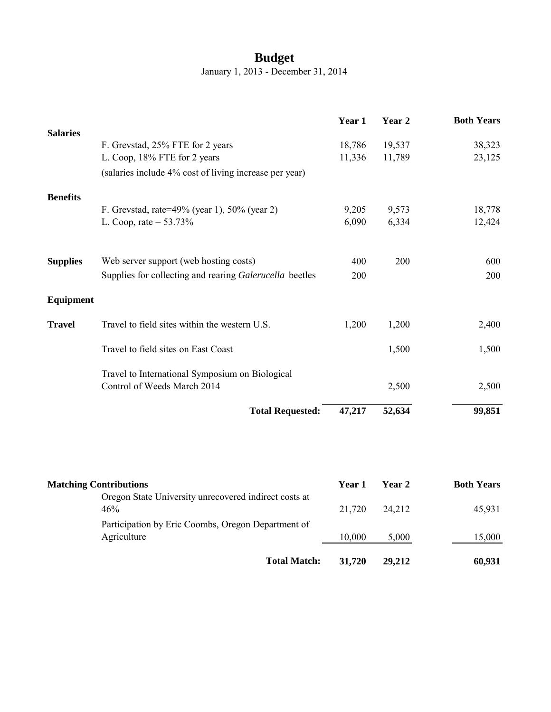## **Budget**

January 1, 2013 - December 31, 2014

|                               |                                                                                | Year 1 | Year 2 | <b>Both Years</b> |
|-------------------------------|--------------------------------------------------------------------------------|--------|--------|-------------------|
| <b>Salaries</b>               |                                                                                |        |        |                   |
|                               | F. Grevstad, 25% FTE for 2 years                                               | 18,786 | 19,537 | 38,323            |
|                               | L. Coop, 18% FTE for 2 years                                                   | 11,336 | 11,789 | 23,125            |
|                               | (salaries include 4% cost of living increase per year)                         |        |        |                   |
| <b>Benefits</b>               |                                                                                |        |        |                   |
|                               | F. Grevstad, rate=49% (year 1), 50% (year 2)                                   | 9,205  | 9,573  | 18,778            |
|                               | L. Coop, rate = $53.73\%$                                                      | 6,090  | 6,334  | 12,424            |
|                               |                                                                                |        |        |                   |
| <b>Supplies</b>               | Web server support (web hosting costs)                                         | 400    | 200    | 600               |
|                               | Supplies for collecting and rearing Galerucella beetles                        | 200    |        | 200               |
|                               |                                                                                |        |        |                   |
| Equipment                     |                                                                                |        |        |                   |
| <b>Travel</b>                 | Travel to field sites within the western U.S.                                  | 1,200  | 1,200  | 2,400             |
|                               | Travel to field sites on East Coast                                            |        | 1,500  | 1,500             |
|                               |                                                                                |        |        |                   |
|                               | Travel to International Symposium on Biological<br>Control of Weeds March 2014 |        |        |                   |
|                               |                                                                                |        | 2,500  | 2,500             |
|                               | <b>Total Requested:</b>                                                        | 47,217 | 52,634 | 99,851            |
|                               |                                                                                |        |        |                   |
|                               |                                                                                |        |        |                   |
| <b>Matching Contributions</b> |                                                                                | Year 1 | Year 2 | <b>Both Years</b> |
|                               | Oregon State University unrecovered indirect costs at                          |        |        |                   |

| <b>Total Match:</b>                                               | 31.720 | 29,212 | 60,931 |
|-------------------------------------------------------------------|--------|--------|--------|
| Participation by Eric Coombs, Oregon Department of<br>Agriculture | 10,000 | 5,000  | 15,000 |
| Oregon State University unrecovered indirect costs at<br>46%      | 21,720 | 24.212 | 45,931 |